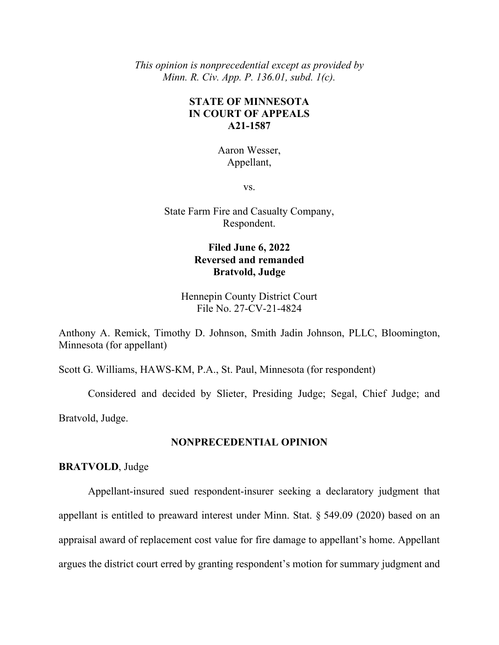*This opinion is nonprecedential except as provided by Minn. R. Civ. App. P. 136.01, subd. 1(c).*

## **STATE OF MINNESOTA IN COURT OF APPEALS A21-1587**

Aaron Wesser, Appellant,

vs.

State Farm Fire and Casualty Company, Respondent.

## **Filed June 6, 2022 Reversed and remanded Bratvold, Judge**

Hennepin County District Court File No. 27-CV-21-4824

Anthony A. Remick, Timothy D. Johnson, Smith Jadin Johnson, PLLC, Bloomington, Minnesota (for appellant)

Scott G. Williams, HAWS-KM, P.A., St. Paul, Minnesota (for respondent)

Considered and decided by Slieter, Presiding Judge; Segal, Chief Judge; and Bratvold, Judge.

### **NONPRECEDENTIAL OPINION**

**BRATVOLD**, Judge

Appellant-insured sued respondent-insurer seeking a declaratory judgment that appellant is entitled to preaward interest under Minn. Stat. § 549.09 (2020) based on an appraisal award of replacement cost value for fire damage to appellant's home. Appellant argues the district court erred by granting respondent's motion for summary judgment and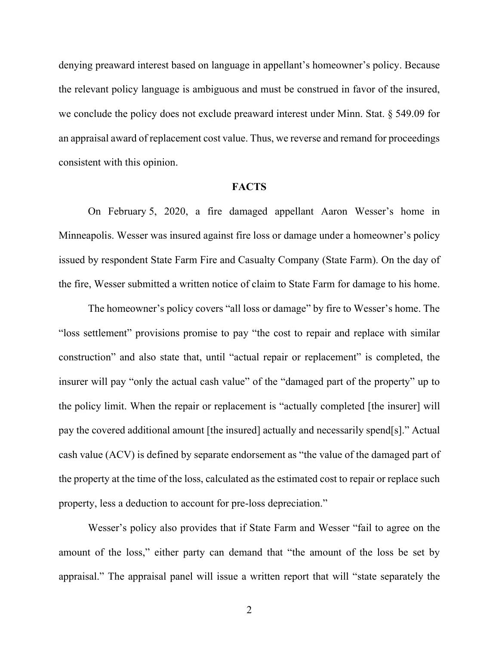denying preaward interest based on language in appellant's homeowner's policy. Because the relevant policy language is ambiguous and must be construed in favor of the insured, we conclude the policy does not exclude preaward interest under Minn. Stat. § 549.09 for an appraisal award of replacement cost value. Thus, we reverse and remand for proceedings consistent with this opinion.

#### **FACTS**

On February 5, 2020, a fire damaged appellant Aaron Wesser's home in Minneapolis. Wesser was insured against fire loss or damage under a homeowner's policy issued by respondent State Farm Fire and Casualty Company (State Farm). On the day of the fire, Wesser submitted a written notice of claim to State Farm for damage to his home.

The homeowner's policy covers "all loss or damage" by fire to Wesser's home. The "loss settlement" provisions promise to pay "the cost to repair and replace with similar construction" and also state that, until "actual repair or replacement" is completed, the insurer will pay "only the actual cash value" of the "damaged part of the property" up to the policy limit. When the repair or replacement is "actually completed [the insurer] will pay the covered additional amount [the insured] actually and necessarily spend[s]." Actual cash value (ACV) is defined by separate endorsement as "the value of the damaged part of the property at the time of the loss, calculated as the estimated cost to repair or replace such property, less a deduction to account for pre-loss depreciation."

Wesser's policy also provides that if State Farm and Wesser "fail to agree on the amount of the loss," either party can demand that "the amount of the loss be set by appraisal." The appraisal panel will issue a written report that will "state separately the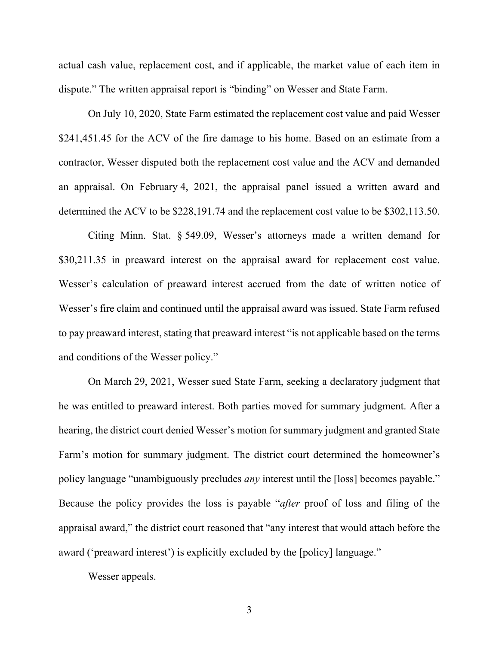actual cash value, replacement cost, and if applicable, the market value of each item in dispute." The written appraisal report is "binding" on Wesser and State Farm.

On July 10, 2020, State Farm estimated the replacement cost value and paid Wesser \$241,451.45 for the ACV of the fire damage to his home. Based on an estimate from a contractor, Wesser disputed both the replacement cost value and the ACV and demanded an appraisal. On February 4, 2021, the appraisal panel issued a written award and determined the ACV to be \$228,191.74 and the replacement cost value to be \$302,113.50.

Citing Minn. Stat. § 549.09, Wesser's attorneys made a written demand for \$30,211.35 in preaward interest on the appraisal award for replacement cost value. Wesser's calculation of preaward interest accrued from the date of written notice of Wesser's fire claim and continued until the appraisal award was issued. State Farm refused to pay preaward interest, stating that preaward interest "is not applicable based on the terms and conditions of the Wesser policy."

On March 29, 2021, Wesser sued State Farm, seeking a declaratory judgment that he was entitled to preaward interest. Both parties moved for summary judgment. After a hearing, the district court denied Wesser's motion for summary judgment and granted State Farm's motion for summary judgment. The district court determined the homeowner's policy language "unambiguously precludes *any* interest until the [loss] becomes payable." Because the policy provides the loss is payable "*after* proof of loss and filing of the appraisal award," the district court reasoned that "any interest that would attach before the award ('preaward interest') is explicitly excluded by the [policy] language."

Wesser appeals.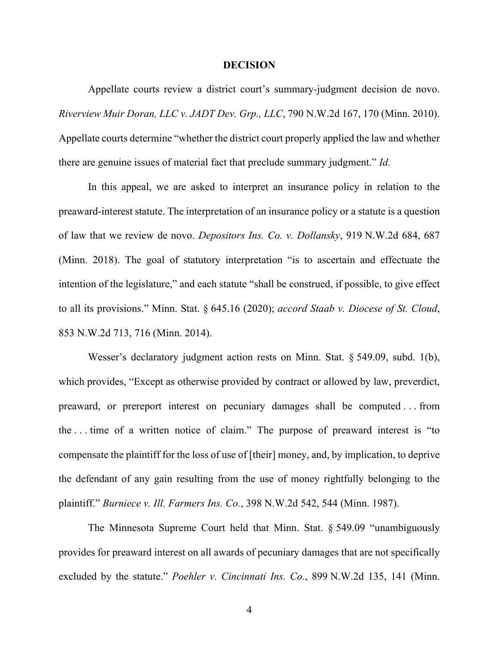#### **DECISION**

Appellate courts review a district court's summary-judgment decision de novo. *Riverview Muir Doran, LLC v. JADT Dev. Grp., LLC*, 790 N.W.2d 167, 170 (Minn. 2010). Appellate courts determine "whether the district court properly applied the law and whether there are genuine issues of material fact that preclude summary judgment." *Id.*

In this appeal, we are asked to interpret an insurance policy in relation to the preaward-interest statute. The interpretation of an insurance policy or a statute is a question of law that we review de novo. *Depositors Ins. Co. v. Dollansky*, 919 N.W.2d 684, 687 (Minn. 2018). The goal of statutory interpretation "is to ascertain and effectuate the intention of the legislature," and each statute "shall be construed, if possible, to give effect to all its provisions." Minn. Stat. § 645.16 (2020); *accord Staab v. Diocese of St. Cloud*, 853 N.W.2d 713, 716 (Minn. 2014).

Wesser's declaratory judgment action rests on Minn. Stat. § 549.09, subd. 1(b), which provides, "Except as otherwise provided by contract or allowed by law, preverdict, preaward, or prereport interest on pecuniary damages shall be computed . . . from the . . . time of a written notice of claim." The purpose of preaward interest is "to compensate the plaintiff for the loss of use of [their] money, and, by implication, to deprive the defendant of any gain resulting from the use of money rightfully belonging to the plaintiff." *Burniece v. Ill. Farmers Ins. Co.*, 398 N.W.2d 542, 544 (Minn. 1987).

The Minnesota Supreme Court held that Minn. Stat. § 549.09 "unambiguously provides for preaward interest on all awards of pecuniary damages that are not specifically excluded by the statute." *Poehler v. Cincinnati Ins. Co.*, 899 N.W.2d 135, 141 (Minn.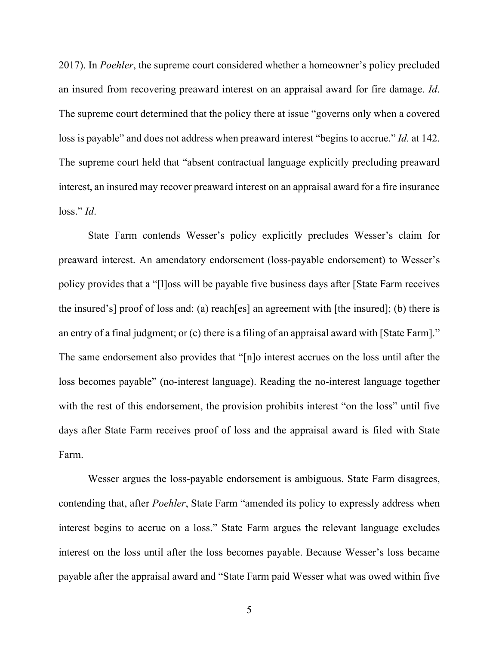2017). In *Poehler*, the supreme court considered whether a homeowner's policy precluded an insured from recovering preaward interest on an appraisal award for fire damage. *Id*. The supreme court determined that the policy there at issue "governs only when a covered loss is payable" and does not address when preaward interest "begins to accrue." *Id.* at 142. The supreme court held that "absent contractual language explicitly precluding preaward interest, an insured may recover preaward interest on an appraisal award for a fire insurance loss." *Id*.

State Farm contends Wesser's policy explicitly precludes Wesser's claim for preaward interest. An amendatory endorsement (loss-payable endorsement) to Wesser's policy provides that a "[l]oss will be payable five business days after [State Farm receives the insured's] proof of loss and: (a) reach[es] an agreement with [the insured]; (b) there is an entry of a final judgment; or (c) there is a filing of an appraisal award with [State Farm]." The same endorsement also provides that "[n]o interest accrues on the loss until after the loss becomes payable" (no-interest language). Reading the no-interest language together with the rest of this endorsement, the provision prohibits interest "on the loss" until five days after State Farm receives proof of loss and the appraisal award is filed with State Farm.

Wesser argues the loss-payable endorsement is ambiguous. State Farm disagrees, contending that, after *Poehler*, State Farm "amended its policy to expressly address when interest begins to accrue on a loss." State Farm argues the relevant language excludes interest on the loss until after the loss becomes payable. Because Wesser's loss became payable after the appraisal award and "State Farm paid Wesser what was owed within five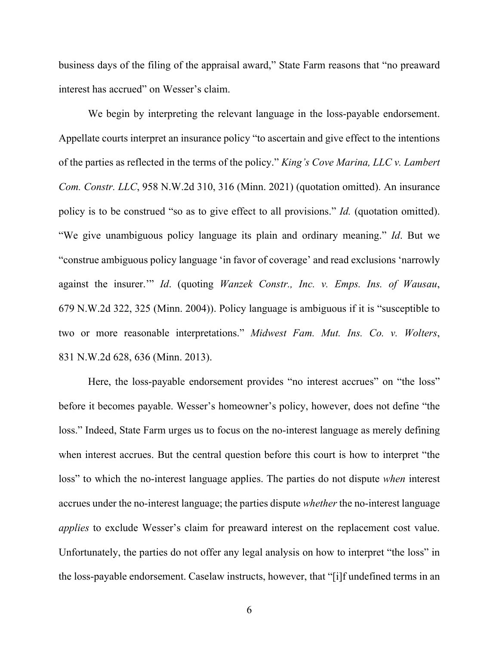business days of the filing of the appraisal award," State Farm reasons that "no preaward interest has accrued" on Wesser's claim.

We begin by interpreting the relevant language in the loss-payable endorsement. Appellate courts interpret an insurance policy "to ascertain and give effect to the intentions of the parties as reflected in the terms of the policy." *King's Cove Marina, LLC v. Lambert Com. Constr. LLC*, 958 N.W.2d 310, 316 (Minn. 2021) (quotation omitted). An insurance policy is to be construed "so as to give effect to all provisions." *Id.* (quotation omitted). "We give unambiguous policy language its plain and ordinary meaning." *Id*. But we "construe ambiguous policy language 'in favor of coverage' and read exclusions 'narrowly against the insurer.'" *Id*. (quoting *Wanzek Constr., Inc. v. Emps. Ins. of Wausau*, 679 N.W.2d 322, 325 (Minn. 2004)). Policy language is ambiguous if it is "susceptible to two or more reasonable interpretations." *Midwest Fam. Mut. Ins. Co. v. Wolters*, 831 N.W.2d 628, 636 (Minn. 2013).

Here, the loss-payable endorsement provides "no interest accrues" on "the loss" before it becomes payable. Wesser's homeowner's policy, however, does not define "the loss." Indeed, State Farm urges us to focus on the no-interest language as merely defining when interest accrues. But the central question before this court is how to interpret "the loss" to which the no-interest language applies. The parties do not dispute *when* interest accrues under the no-interest language; the parties dispute *whether* the no-interest language *applies* to exclude Wesser's claim for preaward interest on the replacement cost value. Unfortunately, the parties do not offer any legal analysis on how to interpret "the loss" in the loss-payable endorsement. Caselaw instructs, however, that "[i]f undefined terms in an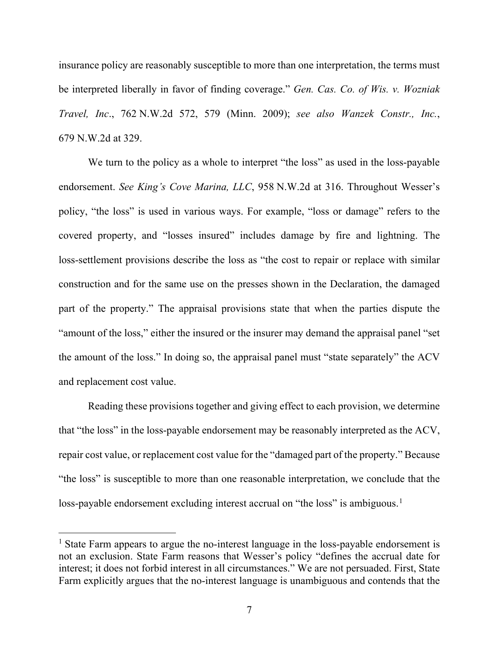insurance policy are reasonably susceptible to more than one interpretation, the terms must be interpreted liberally in favor of finding coverage." *Gen. Cas. Co. of Wis. v. Wozniak Travel, Inc*., 762 N.W.2d 572, 579 (Minn. 2009); *see also Wanzek Constr., Inc.*, 679 N.W.2d at 329.

We turn to the policy as a whole to interpret "the loss" as used in the loss-payable endorsement. *See King's Cove Marina, LLC*, 958 N.W.2d at 316. Throughout Wesser's policy, "the loss" is used in various ways. For example, "loss or damage" refers to the covered property, and "losses insured" includes damage by fire and lightning. The loss-settlement provisions describe the loss as "the cost to repair or replace with similar construction and for the same use on the presses shown in the Declaration, the damaged part of the property." The appraisal provisions state that when the parties dispute the "amount of the loss," either the insured or the insurer may demand the appraisal panel "set the amount of the loss." In doing so, the appraisal panel must "state separately" the ACV and replacement cost value.

Reading these provisions together and giving effect to each provision, we determine that "the loss" in the loss-payable endorsement may be reasonably interpreted as the ACV, repair cost value, or replacement cost value for the "damaged part of the property." Because "the loss" is susceptible to more than one reasonable interpretation, we conclude that the loss-payable endorsement excluding interest accrual on "the loss" is ambiguous.<sup>[1](#page-6-0)</sup>

<span id="page-6-0"></span><sup>&</sup>lt;sup>1</sup> State Farm appears to argue the no-interest language in the loss-payable endorsement is not an exclusion. State Farm reasons that Wesser's policy "defines the accrual date for interest; it does not forbid interest in all circumstances." We are not persuaded. First, State Farm explicitly argues that the no-interest language is unambiguous and contends that the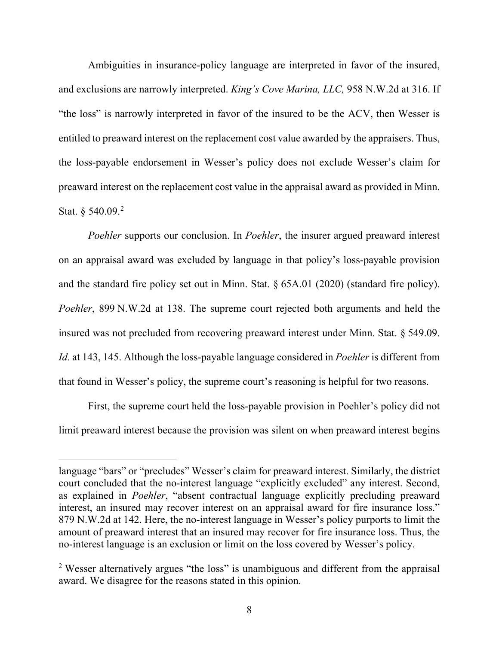Ambiguities in insurance-policy language are interpreted in favor of the insured, and exclusions are narrowly interpreted. *King's Cove Marina, LLC,* 958 N.W.2d at 316. If "the loss" is narrowly interpreted in favor of the insured to be the ACV, then Wesser is entitled to preaward interest on the replacement cost value awarded by the appraisers. Thus, the loss-payable endorsement in Wesser's policy does not exclude Wesser's claim for preaward interest on the replacement cost value in the appraisal award as provided in Minn. Stat. § 540.09.<sup>[2](#page-7-0)</sup>

*Poehler* supports our conclusion. In *Poehler*, the insurer argued preaward interest on an appraisal award was excluded by language in that policy's loss-payable provision and the standard fire policy set out in Minn. Stat. § 65A.01 (2020) (standard fire policy). *Poehler*, 899 N.W.2d at 138. The supreme court rejected both arguments and held the insured was not precluded from recovering preaward interest under Minn. Stat. § 549.09. *Id*. at 143, 145. Although the loss-payable language considered in *Poehler* is different from that found in Wesser's policy, the supreme court's reasoning is helpful for two reasons.

First, the supreme court held the loss-payable provision in Poehler's policy did not limit preaward interest because the provision was silent on when preaward interest begins

language "bars" or "precludes" Wesser's claim for preaward interest. Similarly, the district court concluded that the no-interest language "explicitly excluded" any interest. Second, as explained in *Poehler*, "absent contractual language explicitly precluding preaward interest, an insured may recover interest on an appraisal award for fire insurance loss." 879 N.W.2d at 142. Here, the no-interest language in Wesser's policy purports to limit the amount of preaward interest that an insured may recover for fire insurance loss. Thus, the no-interest language is an exclusion or limit on the loss covered by Wesser's policy.

<span id="page-7-0"></span><sup>&</sup>lt;sup>2</sup> Wesser alternatively argues "the loss" is unambiguous and different from the appraisal award. We disagree for the reasons stated in this opinion.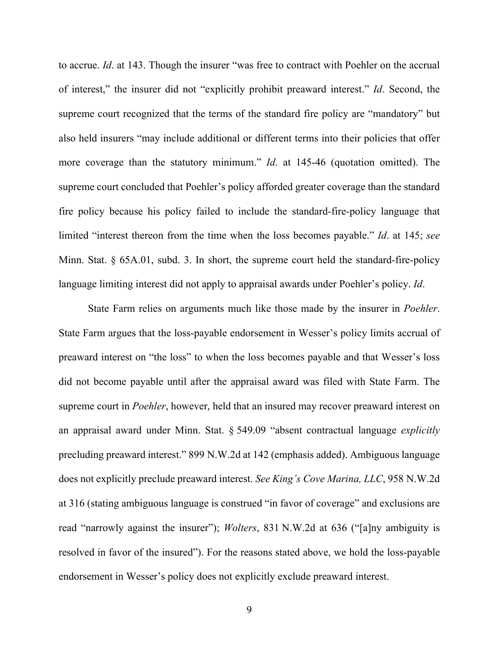to accrue. *Id*. at 143. Though the insurer "was free to contract with Poehler on the accrual of interest," the insurer did not "explicitly prohibit preaward interest." *Id*. Second, the supreme court recognized that the terms of the standard fire policy are "mandatory" but also held insurers "may include additional or different terms into their policies that offer more coverage than the statutory minimum." *Id*. at 145-46 (quotation omitted). The supreme court concluded that Poehler's policy afforded greater coverage than the standard fire policy because his policy failed to include the standard-fire-policy language that limited "interest thereon from the time when the loss becomes payable." *Id*. at 145; *see* Minn. Stat. § 65A.01, subd. 3. In short, the supreme court held the standard-fire-policy language limiting interest did not apply to appraisal awards under Poehler's policy. *Id*.

State Farm relies on arguments much like those made by the insurer in *Poehler*. State Farm argues that the loss-payable endorsement in Wesser's policy limits accrual of preaward interest on "the loss" to when the loss becomes payable and that Wesser's loss did not become payable until after the appraisal award was filed with State Farm. The supreme court in *Poehler*, however, held that an insured may recover preaward interest on an appraisal award under Minn. Stat. § 549.09 "absent contractual language *explicitly* precluding preaward interest." 899 N.W.2d at 142 (emphasis added). Ambiguous language does not explicitly preclude preaward interest. *See King's Cove Marina, LLC*, 958 N.W.2d at 316 (stating ambiguous language is construed "in favor of coverage" and exclusions are read "narrowly against the insurer"); *Wolters*, 831 N.W.2d at 636 ("[a]ny ambiguity is resolved in favor of the insured"). For the reasons stated above, we hold the loss-payable endorsement in Wesser's policy does not explicitly exclude preaward interest.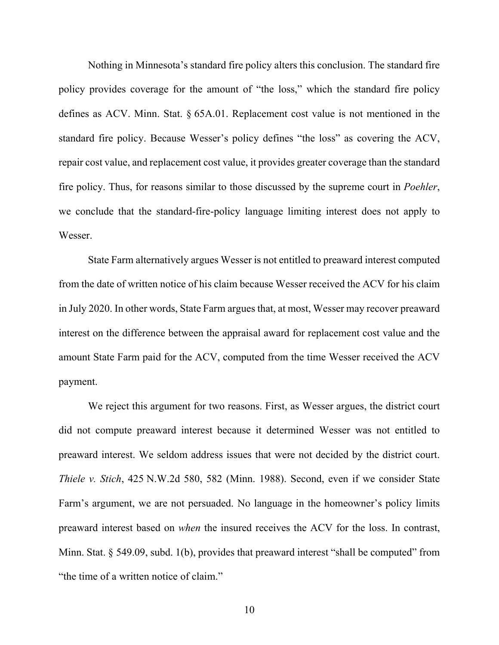Nothing in Minnesota's standard fire policy alters this conclusion. The standard fire policy provides coverage for the amount of "the loss," which the standard fire policy defines as ACV. Minn. Stat. § 65A.01. Replacement cost value is not mentioned in the standard fire policy. Because Wesser's policy defines "the loss" as covering the ACV, repair cost value, and replacement cost value, it provides greater coverage than the standard fire policy. Thus, for reasons similar to those discussed by the supreme court in *Poehler*, we conclude that the standard-fire-policy language limiting interest does not apply to Wesser.

State Farm alternatively argues Wesser is not entitled to preaward interest computed from the date of written notice of his claim because Wesser received the ACV for his claim in July 2020. In other words, State Farm argues that, at most, Wesser may recover preaward interest on the difference between the appraisal award for replacement cost value and the amount State Farm paid for the ACV, computed from the time Wesser received the ACV payment.

We reject this argument for two reasons. First, as Wesser argues, the district court did not compute preaward interest because it determined Wesser was not entitled to preaward interest. We seldom address issues that were not decided by the district court. *Thiele v. Stich*, 425 N.W.2d 580, 582 (Minn. 1988). Second, even if we consider State Farm's argument, we are not persuaded. No language in the homeowner's policy limits preaward interest based on *when* the insured receives the ACV for the loss. In contrast, Minn. Stat. § 549.09, subd. 1(b), provides that preaward interest "shall be computed" from "the time of a written notice of claim."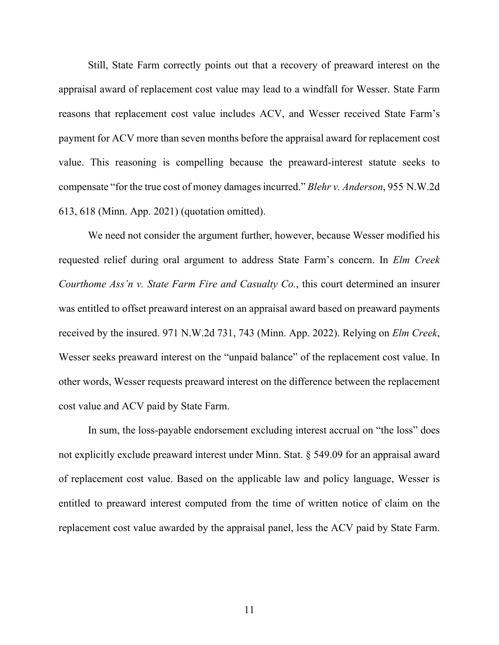Still, State Farm correctly points out that a recovery of preaward interest on the appraisal award of replacement cost value may lead to a windfall for Wesser. State Farm reasons that replacement cost value includes ACV, and Wesser received State Farm's payment for ACV more than seven months before the appraisal award for replacement cost value. This reasoning is compelling because the preaward-interest statute seeks to compensate "for the true cost of money damages incurred." *Blehr v. Anderson*, 955 N.W.2d 613, 618 (Minn. App. 2021) (quotation omitted).

We need not consider the argument further, however, because Wesser modified his requested relief during oral argument to address State Farm's concern. In *Elm Creek Courthome Ass'n v. State Farm Fire and Casualty Co.*, this court determined an insurer was entitled to offset preaward interest on an appraisal award based on preaward payments received by the insured. 971 N.W.2d 731, 743 (Minn. App. 2022). Relying on *Elm Creek*, Wesser seeks preaward interest on the "unpaid balance" of the replacement cost value. In other words, Wesser requests preaward interest on the difference between the replacement cost value and ACV paid by State Farm.

In sum, the loss-payable endorsement excluding interest accrual on "the loss" does not explicitly exclude preaward interest under Minn. Stat. § 549.09 for an appraisal award of replacement cost value. Based on the applicable law and policy language, Wesser is entitled to preaward interest computed from the time of written notice of claim on the replacement cost value awarded by the appraisal panel, less the ACV paid by State Farm.